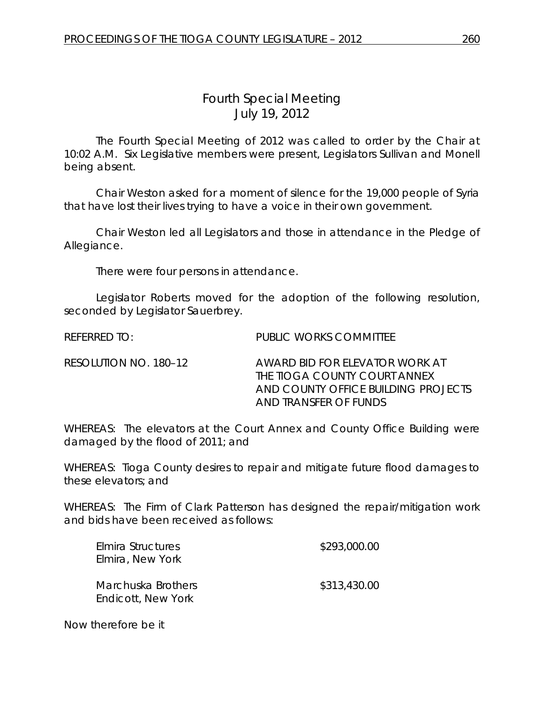## *Fourth Special Meeting* July 19, 2012

The Fourth Special Meeting of 2012 was called to order by the Chair at 10:02 A.M. Six Legislative members were present, Legislators Sullivan and Monell being absent.

Chair Weston asked for a moment of silence for the 19,000 people of Syria that have lost their lives trying to have a voice in their own government.

Chair Weston led all Legislators and those in attendance in the Pledge of Allegiance.

There were four persons in attendance.

Legislator Roberts moved for the adoption of the following resolution, seconded by Legislator Sauerbrey.

REFERRED TO: PUBLIC WORKS COMMITTEE

RESOLUTION NO. 180–12 AWARD BID FOR ELEVATOR WORK AT THE TIOGA COUNTY COURT ANNEX AND COUNTY OFFICE BUILDING PROJECTS AND TRANSFER OF FUNDS

WHEREAS: The elevators at the Court Annex and County Office Building were damaged by the flood of 2011; and

WHEREAS: Tioga County desires to repair and mitigate future flood damages to these elevators; and

WHEREAS: The Firm of Clark Patterson has designed the repair/mitigation work and bids have been received as follows:

| Elmira Structures         | \$293,000.00 |
|---------------------------|--------------|
| Elmira, New York          |              |
|                           |              |
| Marchuska Brothers        | \$313,430.00 |
| <b>Endicott, New York</b> |              |

Now therefore be it